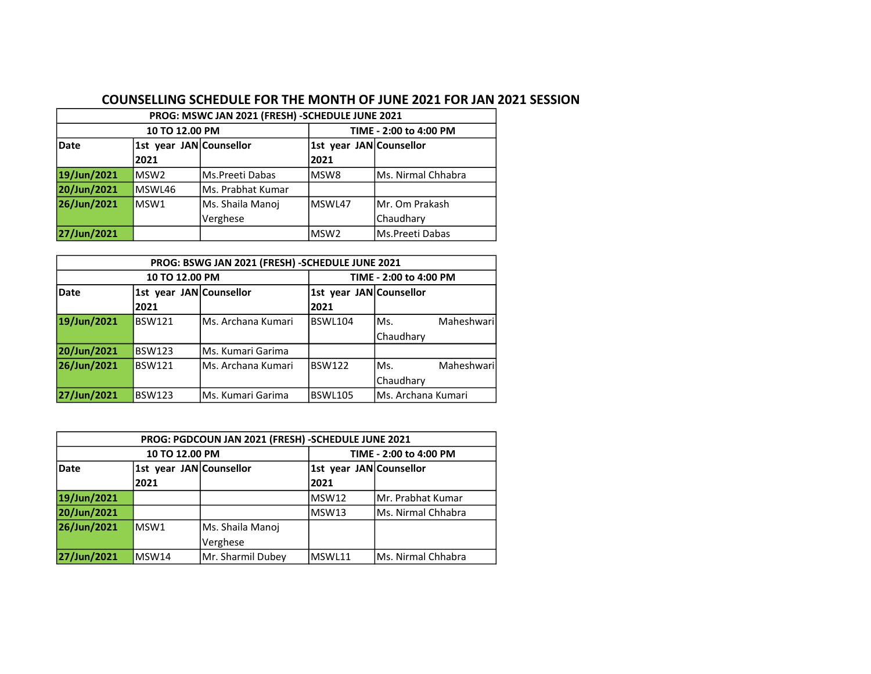## COUNSELLING SCHEDULE FOR THE MONTH OF JUNE 2021 FOR JAN 2021 SESSION

| PROG: MSWC JAN 2021 (FRESH) - SCHEDULE JUNE 2021 |                         |                    |                         |                    |  |  |  |
|--------------------------------------------------|-------------------------|--------------------|-------------------------|--------------------|--|--|--|
| 10 TO 12.00 PM                                   |                         |                    | TIME - 2:00 to 4:00 PM  |                    |  |  |  |
| Date                                             | 1st year JAN Counsellor |                    | 1st year JAN Counsellor |                    |  |  |  |
|                                                  | 2021                    |                    | 2021                    |                    |  |  |  |
| 19/Jun/2021                                      | lMSW2                   | Ms.Preeti Dabas    | lMSW8                   | Ms. Nirmal Chhabra |  |  |  |
| 20/Jun/2021                                      | MSWL46                  | lMs. Prabhat Kumar |                         |                    |  |  |  |
| 26/Jun/2021                                      | MSW1                    | Ms. Shaila Manoj   | lMSWL47                 | Mr. Om Prakash     |  |  |  |
|                                                  |                         | Verghese           | Chaudhary               |                    |  |  |  |
| 27/Jun/2021                                      |                         |                    | lMSW2                   | Ms.Preeti Dabas    |  |  |  |

| PROG: BSWG JAN 2021 (FRESH) -SCHEDULE JUNE 2021 |                         |                     |                         |                    |            |  |  |
|-------------------------------------------------|-------------------------|---------------------|-------------------------|--------------------|------------|--|--|
| 10 TO 12.00 PM                                  |                         |                     | TIME - 2:00 to 4:00 PM  |                    |            |  |  |
| Date                                            | 1st year JAN Counsellor |                     | 1st year JAN Counsellor |                    |            |  |  |
|                                                 | 2021                    |                     | 2021                    |                    |            |  |  |
| 19/Jun/2021                                     | <b>BSW121</b>           | lMs. Archana Kumari | <b>BSWL104</b>          | IMs.               | Maheshwari |  |  |
|                                                 |                         |                     |                         | Chaudhary          |            |  |  |
| 20/Jun/2021                                     | <b>BSW123</b>           | Ms. Kumari Garima   |                         |                    |            |  |  |
| 26/Jun/2021                                     | <b>BSW121</b>           | Ms. Archana Kumari  | BSW122                  | Ms.                | Maheshwari |  |  |
|                                                 |                         |                     |                         | Chaudhary          |            |  |  |
| 27/Jun/2021                                     | <b>BSW123</b>           | Ms. Kumari Garima   | <b>BSWL105</b>          | Ms. Archana Kumari |            |  |  |

| PROG: PGDCOUN JAN 2021 (FRESH) - SCHEDULE JUNE 2021 |                         |                   |                         |                    |  |  |  |
|-----------------------------------------------------|-------------------------|-------------------|-------------------------|--------------------|--|--|--|
| 10 TO 12.00 PM                                      |                         |                   | TIME - 2:00 to 4:00 PM  |                    |  |  |  |
| <b>Date</b>                                         | 1st year JAN Counsellor |                   | 1st year JAN Counsellor |                    |  |  |  |
|                                                     | 2021                    |                   | 2021                    |                    |  |  |  |
| 19/Jun/2021                                         |                         |                   | IMSW12                  | Mr. Prabhat Kumar  |  |  |  |
| 20/Jun/2021                                         |                         |                   | lMSW13                  | Ms. Nirmal Chhabra |  |  |  |
| 26/Jun/2021                                         | lMSW1                   | Ms. Shaila Manoj  |                         |                    |  |  |  |
|                                                     |                         | Verghese          |                         |                    |  |  |  |
| 27/Jun/2021                                         | MSW14                   | Mr. Sharmil Dubey | MSWL11                  | Ms. Nirmal Chhabra |  |  |  |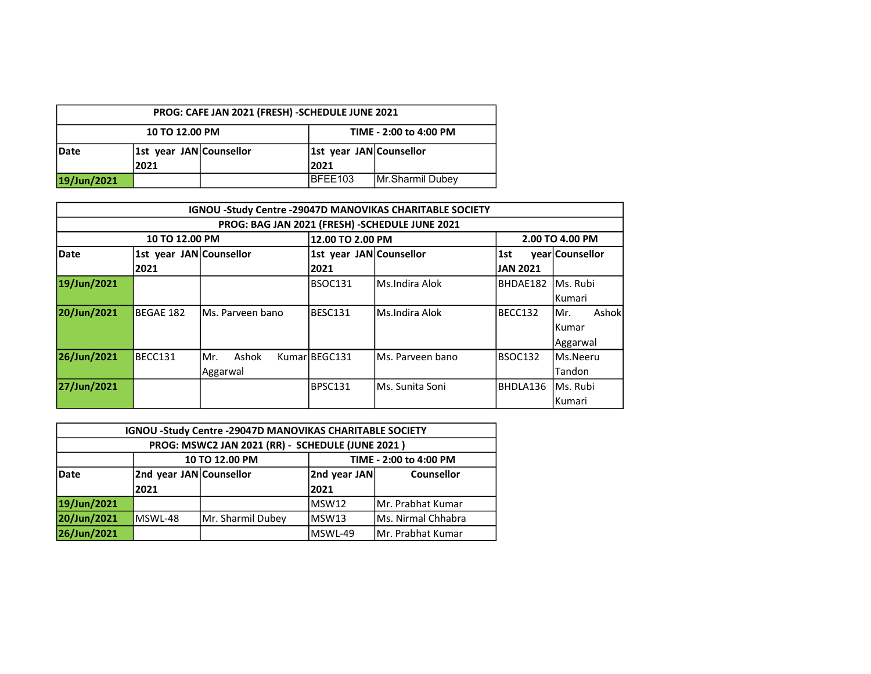| PROG: CAFE JAN 2021 (FRESH) - SCHEDULE JUNE 2021 |                         |  |                         |                  |  |  |  |
|--------------------------------------------------|-------------------------|--|-------------------------|------------------|--|--|--|
| TIME - 2:00 to 4:00 PM<br>10 TO 12.00 PM         |                         |  |                         |                  |  |  |  |
| Date                                             | 1st year JAN Counsellor |  | 1st year JAN Counsellor |                  |  |  |  |
|                                                  | 2021                    |  | 2021                    |                  |  |  |  |
| 19/Jun/2021                                      |                         |  | IBFEE103                | Mr.Sharmil Dubey |  |  |  |

|             | <b>IGNOU -Study Centre -29047D MANOVIKAS CHARITABLE SOCIETY</b> |                                                 |                         |                   |                 |                 |  |  |  |
|-------------|-----------------------------------------------------------------|-------------------------------------------------|-------------------------|-------------------|-----------------|-----------------|--|--|--|
|             |                                                                 | PROG: BAG JAN 2021 (FRESH) - SCHEDULE JUNE 2021 |                         |                   |                 |                 |  |  |  |
|             | 10 TO 12.00 PM                                                  |                                                 | 12.00 TO 2.00 PM        |                   |                 | 2.00 TO 4.00 PM |  |  |  |
| Date        | 1st year JAN Counsellor                                         |                                                 | 1st year JAN Counsellor |                   | 1st             | vear Counsellor |  |  |  |
|             | 2021                                                            |                                                 | 2021                    |                   | <b>JAN 2021</b> |                 |  |  |  |
| 19/Jun/2021 |                                                                 |                                                 | BSOC131                 | Ms.Indira Alok    | BHDAE182        | lMs. Rubi       |  |  |  |
|             |                                                                 |                                                 |                         |                   |                 | lKumari         |  |  |  |
| 20/Jun/2021 | <b>BEGAE 182</b>                                                | IMs. Parveen bano                               | BESC131                 | lMs.Indira Alok   | BECC132         | Ashokl<br>IMr.  |  |  |  |
|             |                                                                 |                                                 |                         |                   |                 | lKumar          |  |  |  |
|             |                                                                 |                                                 |                         |                   |                 | Aggarwal        |  |  |  |
| 26/Jun/2021 | BECC131                                                         | Ashok<br>IMr.                                   | Kumar BEGC131           | lMs. Parveen bano | BSOC132         | lMs.Neeru       |  |  |  |
|             |                                                                 | Aggarwal                                        |                         |                   |                 | Tandon          |  |  |  |
| 27/Jun/2021 |                                                                 |                                                 | BPSC131                 | lMs. Sunita Soni  | BHDLA136        | lMs. Rubi       |  |  |  |
|             |                                                                 |                                                 |                         |                   |                 | lKumari         |  |  |  |

| <b>IGNOU -Study Centre -29047D MANOVIKAS CHARITABLE SOCIETY</b> |                                          |                                                              |         |                     |  |  |  |
|-----------------------------------------------------------------|------------------------------------------|--------------------------------------------------------------|---------|---------------------|--|--|--|
| PROG: MSWC2 JAN 2021 (RR) - SCHEDULE (JUNE 2021)                |                                          |                                                              |         |                     |  |  |  |
|                                                                 | 10 TO 12.00 PM<br>TIME - 2:00 to 4:00 PM |                                                              |         |                     |  |  |  |
| Date                                                            |                                          | 2nd year JAN Counsellor<br>2nd year JAN<br><b>Counsellor</b> |         |                     |  |  |  |
|                                                                 | 2021                                     |                                                              | 2021    |                     |  |  |  |
| 19/Jun/2021                                                     |                                          |                                                              | MSW12   | Mr. Prabhat Kumar   |  |  |  |
| 20/Jun/2021                                                     | MSWL-48                                  | Mr. Sharmil Dubey                                            | lMSW13  | IMs. Nirmal Chhabra |  |  |  |
| 26/Jun/2021                                                     |                                          |                                                              | MSWL-49 | Mr. Prabhat Kumar   |  |  |  |